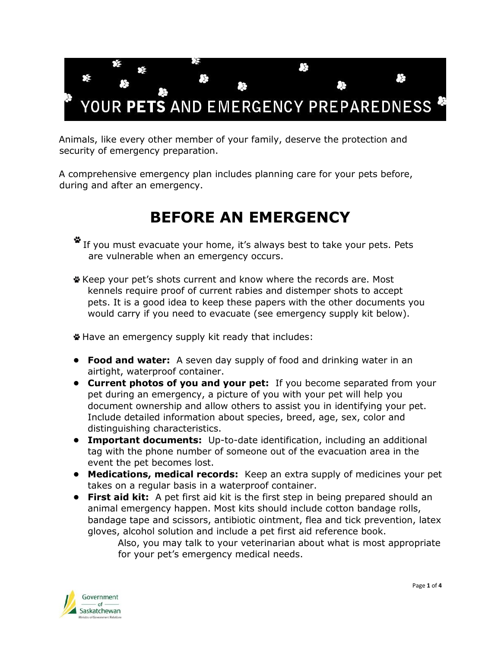

Animals, like every other member of your family, deserve the protection and security of emergency preparation.

A comprehensive emergency plan includes planning care for your pets before, during and after an emergency.

## **BEFORE AN EMERGENCY**

- If you must evacuate your home, it's always best to take your pets. Pets are vulnerable when an emergency occurs.
- Keep your pet's shots current and know where the records are. Most kennels require proof of current rabies and distemper shots to accept pets. It is a good idea to keep these papers with the other documents you would carry if you need to evacuate (see emergency supply kit below).

Have an emergency supply kit ready that includes:

- **• Food and water:** A seven day supply of food and drinking water in an airtight, waterproof container.
- **• Current photos of you and your pet:** If you become separated from your pet during an emergency, a picture of you with your pet will help you document ownership and allow others to assist you in identifying your pet. Include detailed information about species, breed, age, sex, color and distinguishing characteristics.
- **• Important documents:** Up-to-date identification, including an additional tag with the phone number of someone out of the evacuation area in the event the pet becomes lost.
- **• Medications, medical records:** Keep an extra supply of medicines your pet takes on a regular basis in a waterproof container.
- **• First aid kit:** A pet first aid kit is the first step in being prepared should an animal emergency happen. Most kits should include cotton bandage rolls, bandage tape and scissors, antibiotic ointment, flea and tick prevention, latex gloves, alcohol solution and include a pet first aid reference book.
	- Also, you may talk to your veterinarian about what is most appropriate for your pet's emergency medical needs.

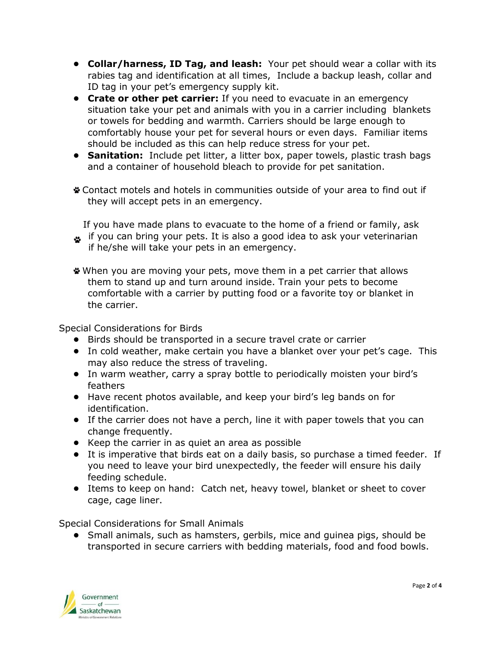- **• Collar/harness, ID Tag, and leash:** Your pet should wear a collar with its rabies tag and identification at all times, Include a backup leash, collar and ID tag in your pet's emergency supply kit.
- **• Crate or other pet carrier:** If you need to evacuate in an emergency situation take your pet and animals with you in a carrier including blankets or towels for bedding and warmth. Carriers should be large enough to comfortably house your pet for several hours or even days. Familiar items should be included as this can help reduce stress for your pet.
- **• Sanitation:** Include pet litter, a litter box, paper towels, plastic trash bags and a container of household bleach to provide for pet sanitation.
- Contact motels and hotels in communities outside of your area to find out if they will accept pets in an emergency.

If you have made plans to evacuate to the home of a friend or family, ask if you can bring your pets. It is also a good idea to ask your veterinarian

- if he/she will take your pets in an emergency.
- When you are moving your pets, move them in a pet carrier that allows them to stand up and turn around inside. Train your pets to become comfortable with a carrier by putting food or a favorite toy or blanket in the carrier.

Special Considerations for Birds

- **•** Birds should be transported in a secure travel crate or carrier
- **•** In cold weather, make certain you have a blanket over your pet's cage. This may also reduce the stress of traveling.
- **•** In warm weather, carry a spray bottle to periodically moisten your bird's feathers
- **•** Have recent photos available, and keep your bird's leg bands on for identification.
- **•** If the carrier does not have a perch, line it with paper towels that you can change frequently.
- **•** Keep the carrier in as quiet an area as possible
- **•** It is imperative that birds eat on a daily basis, so purchase a timed feeder. If you need to leave your bird unexpectedly, the feeder will ensure his daily feeding schedule.
- **•** Items to keep on hand: Catch net, heavy towel, blanket or sheet to cover cage, cage liner.

Special Considerations for Small Animals

**•** Small animals, such as hamsters, gerbils, mice and guinea pigs, should be transported in secure carriers with bedding materials, food and food bowls.

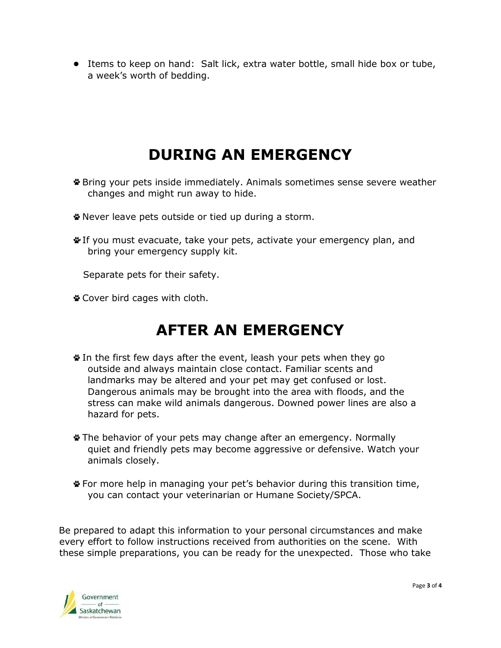**•** Items to keep on hand: Salt lick, extra water bottle, small hide box or tube, a week's worth of bedding.

## **DURING AN EMERGENCY**

- Bring your pets inside immediately. Animals sometimes sense severe weather changes and might run away to hide.
- Never leave pets outside or tied up during a storm.
- If you must evacuate, take your pets, activate your emergency plan, and bring your emergency supply kit.

Separate pets for their safety.

Cover bird cages with cloth.

## **AFTER AN EMERGENCY**

- In the first few days after the event, leash your pets when they go outside and always maintain close contact. Familiar scents and landmarks may be altered and your pet may get confused or lost. Dangerous animals may be brought into the area with floods, and the stress can make wild animals dangerous. Downed power lines are also a hazard for pets.
- The behavior of your pets may change after an emergency. Normally quiet and friendly pets may become aggressive or defensive. Watch your animals closely.
- For more help in managing your pet's behavior during this transition time, you can contact your veterinarian or Humane Society/SPCA.

Be prepared to adapt this information to your personal circumstances and make every effort to follow instructions received from authorities on the scene. With these simple preparations, you can be ready for the unexpected. Those who take